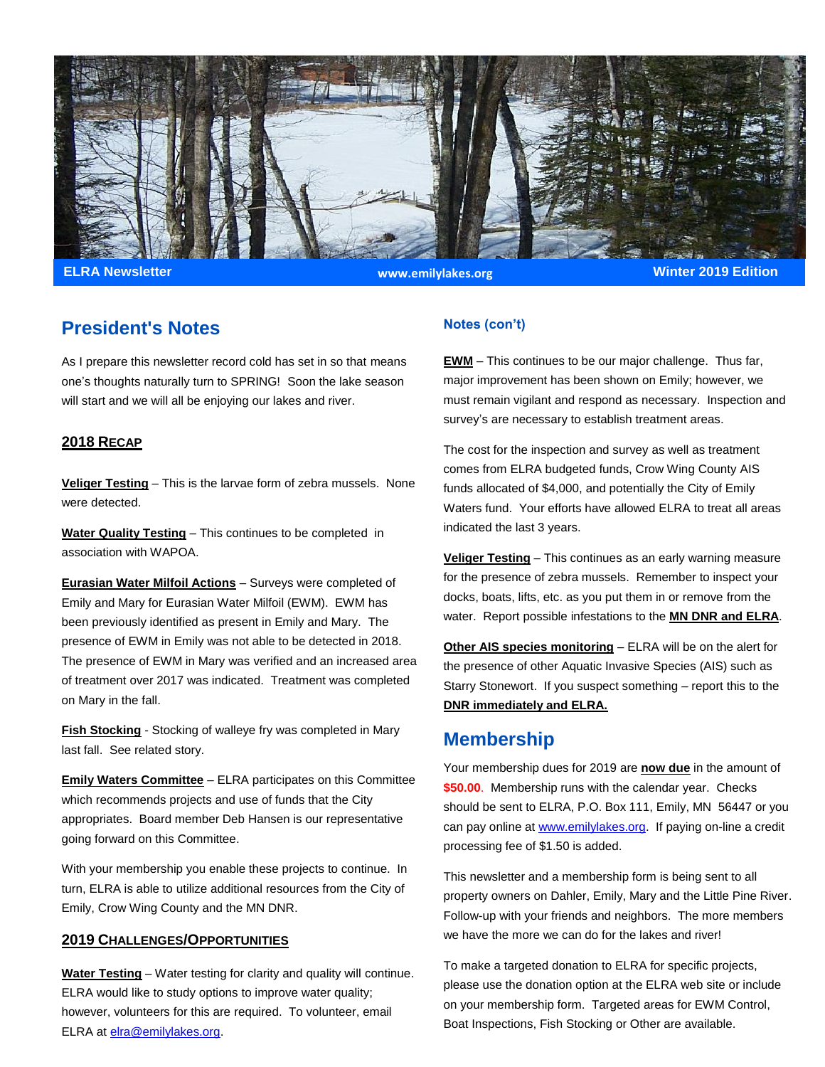

**ELRA Newsletter Winter 2019 Edition www.emilylakes.org**

## **President's Notes**

As I prepare this newsletter record cold has set in so that means one's thoughts naturally turn to SPRING! Soon the lake season will start and we will all be enjoying our lakes and river.

#### **2018 RECAP**

**Veliger Testing** – This is the larvae form of zebra mussels. None were detected.

**Water Quality Testing** – This continues to be completed in association with WAPOA.

**Eurasian Water Milfoil Actions** – Surveys were completed of Emily and Mary for Eurasian Water Milfoil (EWM). EWM has been previously identified as present in Emily and Mary. The presence of EWM in Emily was not able to be detected in 2018. The presence of EWM in Mary was verified and an increased area of treatment over 2017 was indicated. Treatment was completed on Mary in the fall.

**Fish Stocking** - Stocking of walleye fry was completed in Mary last fall. See related story.

**Emily Waters Committee** – ELRA participates on this Committee which recommends projects and use of funds that the City appropriates. Board member Deb Hansen is our representative going forward on this Committee.

With your membership you enable these projects to continue. In turn, ELRA is able to utilize additional resources from the City of Emily, Crow Wing County and the MN DNR.

#### **2019 CHALLENGES/OPPORTUNITIES**

**Water Testing** – Water testing for clarity and quality will continue. ELRA would like to study options to improve water quality; however, volunteers for this are required. To volunteer, email ELRA a[t elra@emilylakes.org.](mailto:elra@emilylakes.org)

#### **Notes (con't)**

**EWM** – This continues to be our major challenge. Thus far, major improvement has been shown on Emily; however, we must remain vigilant and respond as necessary. Inspection and survey's are necessary to establish treatment areas.

The cost for the inspection and survey as well as treatment comes from ELRA budgeted funds, Crow Wing County AIS funds allocated of \$4,000, and potentially the City of Emily Waters fund. Your efforts have allowed ELRA to treat all areas indicated the last 3 years.

**Veliger Testing** – This continues as an early warning measure for the presence of zebra mussels. Remember to inspect your docks, boats, lifts, etc. as you put them in or remove from the water. Report possible infestations to the **MN DNR and ELRA**.

**Other AIS species monitoring** – ELRA will be on the alert for the presence of other Aquatic Invasive Species (AIS) such as Starry Stonewort. If you suspect something – report this to the **DNR immediately and ELRA.**

### **Membership**

Your membership dues for 2019 are **now due** in the amount of **\$50.00**. Membership runs with the calendar year. Checks should be sent to ELRA, P.O. Box 111, Emily, MN 56447 or you can pay online at [www.emilylakes.org.](http://www.emilylakes.org/) If paying on-line a credit processing fee of \$1.50 is added.

This newsletter and a membership form is being sent to all property owners on Dahler, Emily, Mary and the Little Pine River. Follow-up with your friends and neighbors. The more members we have the more we can do for the lakes and river!

To make a targeted donation to ELRA for specific projects, please use the donation option at the ELRA web site or include on your membership form. Targeted areas for EWM Control, Boat Inspections, Fish Stocking or Other are available.